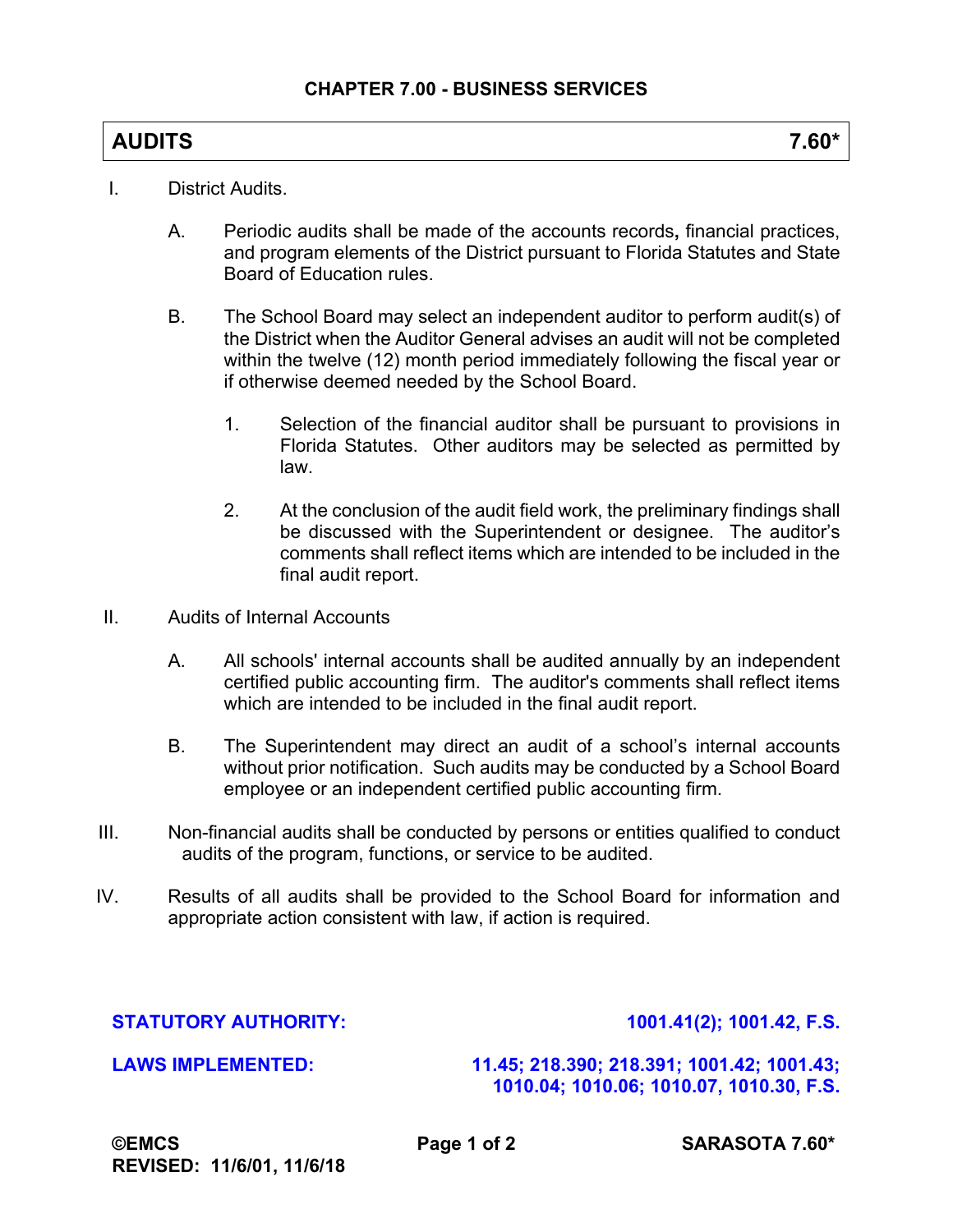## **AUDITS 7.60\***

- I. District Audits.
	- A. Periodic audits shall be made of the accounts records**,** financial practices, and program elements of the District pursuant to Florida Statutes and State Board of Education rules.
	- B. The School Board may select an independent auditor to perform audit(s) of the District when the Auditor General advises an audit will not be completed within the twelve (12) month period immediately following the fiscal year or if otherwise deemed needed by the School Board.
		- 1. Selection of the financial auditor shall be pursuant to provisions in Florida Statutes. Other auditors may be selected as permitted by law.
		- 2. At the conclusion of the audit field work, the preliminary findings shall be discussed with the Superintendent or designee. The auditor's comments shall reflect items which are intended to be included in the final audit report.
- II. Audits of Internal Accounts
	- A. All schools' internal accounts shall be audited annually by an independent certified public accounting firm. The auditor's comments shall reflect items which are intended to be included in the final audit report.
	- B. The Superintendent may direct an audit of a school's internal accounts without prior notification. Such audits may be conducted by a School Board employee or an independent certified public accounting firm.
- III. Non-financial audits shall be conducted by persons or entities qualified to conduct audits of the program, functions, or service to be audited.
- IV. Results of all audits shall be provided to the School Board for information and appropriate action consistent with law, if action is required.

## **STATUTORY AUTHORITY: 1001.41(2); 1001.42, F.S.**

## **LAWS IMPLEMENTED: 11.45; 218.390; 218.391; 1001.42; 1001.43; 1010.04; 1010.06; 1010.07, 1010.30, F.S.**